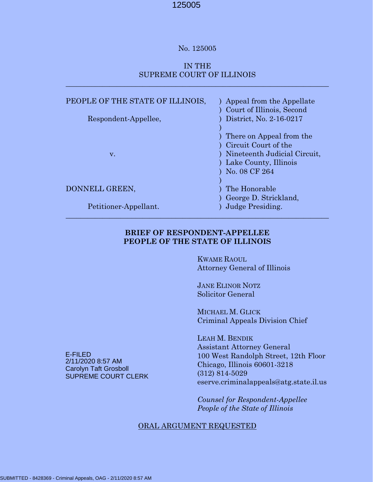#### No. 125005

## IN THE SUPREME COURT OF ILLINOIS

 $\_$  , and the set of the set of the set of the set of the set of the set of the set of the set of the set of the set of the set of the set of the set of the set of the set of the set of the set of the set of the set of th

| PEOPLE OF THE STATE OF ILLINOIS, | ) Appeal from the Appellate<br>Court of Illinois, Second                                                                             |
|----------------------------------|--------------------------------------------------------------------------------------------------------------------------------------|
| Respondent-Appellee,             | District, No. 2-16-0217                                                                                                              |
| V.                               | ) There on Appeal from the<br>Circuit Court of the<br>) Nineteenth Judicial Circuit,<br>) Lake County, Illinois<br>) No. 08 $CF$ 264 |
| DONNELL GREEN,                   | The Honorable                                                                                                                        |
| Petitioner-Appellant.            | George D. Strickland,<br>Judge Presiding.                                                                                            |

## **BRIEF OF RESPONDENT-APPELLEE PEOPLE OF THE STATE OF ILLINOIS**

 $\_$  , and the set of the set of the set of the set of the set of the set of the set of the set of the set of the set of the set of the set of the set of the set of the set of the set of the set of the set of the set of th

 KWAME RAOUL Attorney General of Illinois

 JANE ELINOR NOTZ Solicitor General

 MICHAEL M. GLICK Criminal Appeals Division Chief

 LEAH M. BENDIK Assistant Attorney General 100 West Randolph Street, 12th Floor Chicago, Illinois 60601-3218 (312) 814-5029 eserve.criminalappeals@atg.state.il.us

 *Counsel for Respondent-Appellee People of the State of Illinois*

#### ORAL ARGUMENT REQUESTED

E-FILED 2/11/2020 8:57 AM Carolyn Taft Grosboll SUPREME COURT CLERK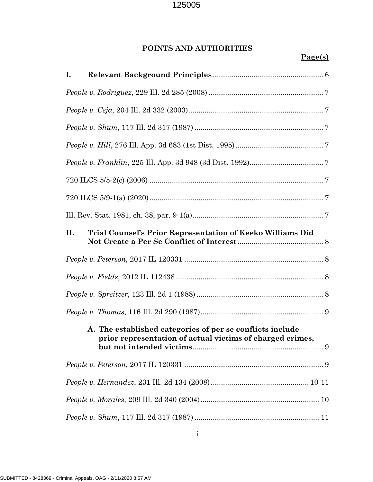# **POINTS AND AUTHORITIES**

# **Page(s)**

| Ι.                                                                                                                     |
|------------------------------------------------------------------------------------------------------------------------|
|                                                                                                                        |
|                                                                                                                        |
|                                                                                                                        |
|                                                                                                                        |
|                                                                                                                        |
|                                                                                                                        |
|                                                                                                                        |
|                                                                                                                        |
| Trial Counsel's Prior Representation of Keeko Williams Did<br>II.                                                      |
|                                                                                                                        |
|                                                                                                                        |
|                                                                                                                        |
|                                                                                                                        |
| A. The established categories of per se conflicts include<br>prior representation of actual victims of charged crimes, |
|                                                                                                                        |
|                                                                                                                        |
|                                                                                                                        |
|                                                                                                                        |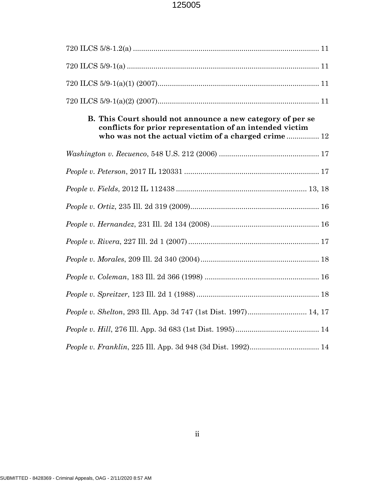| B. This Court should not announce a new category of per se<br>conflicts for prior representation of an intended victim<br>who was not the actual victim of a charged crime 12 |
|-------------------------------------------------------------------------------------------------------------------------------------------------------------------------------|
|                                                                                                                                                                               |
|                                                                                                                                                                               |
|                                                                                                                                                                               |
|                                                                                                                                                                               |
|                                                                                                                                                                               |
|                                                                                                                                                                               |
|                                                                                                                                                                               |
|                                                                                                                                                                               |
|                                                                                                                                                                               |
|                                                                                                                                                                               |
|                                                                                                                                                                               |
|                                                                                                                                                                               |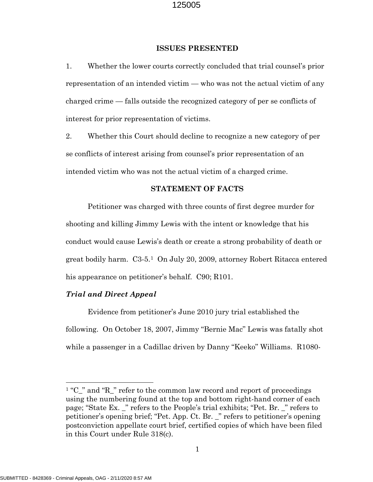#### **ISSUES PRESENTED**

1. Whether the lower courts correctly concluded that trial counsel's prior representation of an intended victim — who was not the actual victim of any charged crime — falls outside the recognized category of per se conflicts of interest for prior representation of victims.

2. Whether this Court should decline to recognize a new category of per se conflicts of interest arising from counsel's prior representation of an intended victim who was not the actual victim of a charged crime.

#### **STATEMENT OF FACTS**

Petitioner was charged with three counts of first degree murder for shooting and killing Jimmy Lewis with the intent or knowledge that his conduct would cause Lewis's death or create a strong probability of death or great bodily harm. C3-5.[1](#page-3-0) On July 20, 2009, attorney Robert Ritacca entered his appearance on petitioner's behalf. C90; R101.

#### *Trial and Direct Appeal*

Evidence from petitioner's June 2010 jury trial established the following. On October 18, 2007, Jimmy "Bernie Mac" Lewis was fatally shot while a passenger in a Cadillac driven by Danny "Keeko" Williams. R1080-

<span id="page-3-0"></span><sup>&</sup>lt;sup>1</sup> "C\_" and "R\_" refer to the common law record and report of proceedings using the numbering found at the top and bottom right-hand corner of each page; "State Ex. \_" refers to the People's trial exhibits; "Pet. Br. \_" refers to petitioner's opening brief; "Pet. App. Ct. Br. \_" refers to petitioner's opening postconviction appellate court brief, certified copies of which have been filed in this Court under Rule 318(c).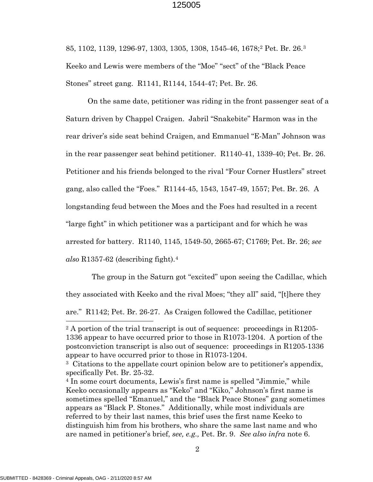85, 1102, 1139, 1296-97, 1303, 1305, 1308, 1545-46, 1678;[2](#page-4-0) Pet. Br. 26.[3](#page-4-1) Keeko and Lewis were members of the "Moe" "sect" of the "Black Peace Stones" street gang. R1141, R1144, 1544-47; Pet. Br. 26.

On the same date, petitioner was riding in the front passenger seat of a Saturn driven by Chappel Craigen. Jabril "Snakebite" Harmon was in the rear driver's side seat behind Craigen, and Emmanuel "E-Man" Johnson was in the rear passenger seat behind petitioner. R1140-41, 1339-40; Pet. Br. 26. Petitioner and his friends belonged to the rival "Four Corner Hustlers" street gang, also called the "Foes." R1144-45, 1543, 1547-49, 1557; Pet. Br. 26. A longstanding feud between the Moes and the Foes had resulted in a recent "large fight" in which petitioner was a participant and for which he was arrested for battery. R1140, 1145, 1549-50, 2665-67; C1769; Pet. Br. 26; *see also* R1357-62 (describing fight).[4](#page-4-2)

 The group in the Saturn got "excited" upon seeing the Cadillac, which they associated with Keeko and the rival Moes; "they all" said, "[t]here they are." R1142; Pet. Br. 26-27. As Craigen followed the Cadillac, petitioner

<span id="page-4-0"></span><sup>&</sup>lt;sup>2</sup> A portion of the trial transcript is out of sequence: proceedings in R1205-1336 appear to have occurred prior to those in R1073-1204. A portion of the postconviction transcript is also out of sequence: proceedings in R1205-1336 appear to have occurred prior to those in R1073-1204.

<span id="page-4-1"></span><sup>3</sup> Citations to the appellate court opinion below are to petitioner's appendix, specifically Pet. Br. 25-32.

<span id="page-4-2"></span><sup>4</sup> In some court documents, Lewis's first name is spelled "Jimmie," while Keeko occasionally appears as "Keko" and "Kiko," Johnson's first name is sometimes spelled "Emanuel," and the "Black Peace Stones" gang sometimes appears as "Black P. Stones." Additionally, while most individuals are referred to by their last names, this brief uses the first name Keeko to distinguish him from his brothers, who share the same last name and who are named in petitioner's brief, *see, e.g.,* Pet. Br. 9. *See also infra* note 6.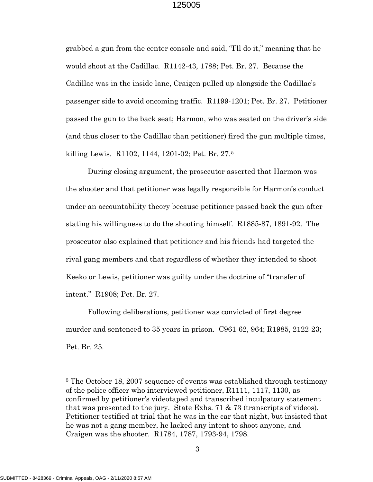grabbed a gun from the center console and said, "I'll do it," meaning that he would shoot at the Cadillac. R1142-43, 1788; Pet. Br. 27. Because the Cadillac was in the inside lane, Craigen pulled up alongside the Cadillac's passenger side to avoid oncoming traffic. R1199-1201; Pet. Br. 27. Petitioner passed the gun to the back seat; Harmon, who was seated on the driver's side (and thus closer to the Cadillac than petitioner) fired the gun multiple times, killing Lewis. R1102, 1144, 1201-02; Pet. Br. 27.[5](#page-5-0)

During closing argument, the prosecutor asserted that Harmon was the shooter and that petitioner was legally responsible for Harmon's conduct under an accountability theory because petitioner passed back the gun after stating his willingness to do the shooting himself. R1885-87, 1891-92. The prosecutor also explained that petitioner and his friends had targeted the rival gang members and that regardless of whether they intended to shoot Keeko or Lewis, petitioner was guilty under the doctrine of "transfer of intent." R1908; Pet. Br. 27.

Following deliberations, petitioner was convicted of first degree murder and sentenced to 35 years in prison. C961-62, 964; R1985, 2122-23; Pet. Br. 25.

<span id="page-5-0"></span><sup>5</sup> The October 18, 2007 sequence of events was established through testimony of the police officer who interviewed petitioner, R1111, 1117, 1130, as confirmed by petitioner's videotaped and transcribed inculpatory statement that was presented to the jury. State Exhs. 71 & 73 (transcripts of videos). Petitioner testified at trial that he was in the car that night, but insisted that he was not a gang member, he lacked any intent to shoot anyone, and Craigen was the shooter. R1784, 1787, 1793-94, 1798.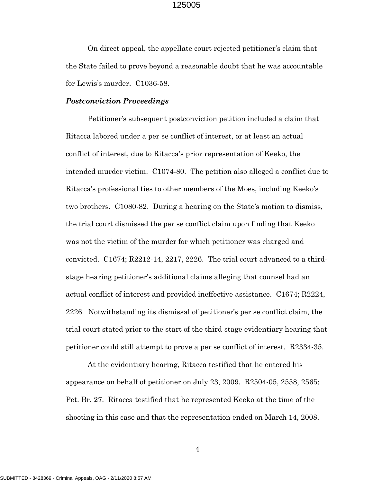On direct appeal, the appellate court rejected petitioner's claim that the State failed to prove beyond a reasonable doubt that he was accountable for Lewis's murder. C1036-58.

#### *Postconviction Proceedings*

 Petitioner's subsequent postconviction petition included a claim that Ritacca labored under a per se conflict of interest, or at least an actual conflict of interest, due to Ritacca's prior representation of Keeko, the intended murder victim. C1074-80. The petition also alleged a conflict due to Ritacca's professional ties to other members of the Moes, including Keeko's two brothers. C1080-82. During a hearing on the State's motion to dismiss, the trial court dismissed the per se conflict claim upon finding that Keeko was not the victim of the murder for which petitioner was charged and convicted. C1674; R2212-14, 2217, 2226. The trial court advanced to a thirdstage hearing petitioner's additional claims alleging that counsel had an actual conflict of interest and provided ineffective assistance. C1674; R2224, 2226. Notwithstanding its dismissal of petitioner's per se conflict claim, the trial court stated prior to the start of the third-stage evidentiary hearing that petitioner could still attempt to prove a per se conflict of interest. R2334-35.

At the evidentiary hearing, Ritacca testified that he entered his appearance on behalf of petitioner on July 23, 2009. R2504-05, 2558, 2565; Pet. Br. 27. Ritacca testified that he represented Keeko at the time of the shooting in this case and that the representation ended on March 14, 2008,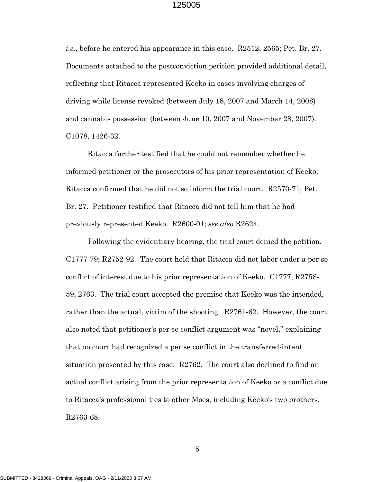*i.e.*, before he entered his appearance in this case. R2512, 2565; Pet. Br. 27. Documents attached to the postconviction petition provided additional detail, reflecting that Ritacca represented Keeko in cases involving charges of driving while license revoked (between July 18, 2007 and March 14, 2008) and cannabis possession (between June 10, 2007 and November 28, 2007). C1078, 1426-32.

Ritacca further testified that he could not remember whether he informed petitioner or the prosecutors of his prior representation of Keeko; Ritacca confirmed that he did not so inform the trial court. R2570-71; Pet. Br. 27. Petitioner testified that Ritacca did not tell him that he had previously represented Keeko. R2600-01; *see also* R2624.

Following the evidentiary hearing, the trial court denied the petition. C1777-79; R2752-92. The court held that Ritacca did not labor under a per se conflict of interest due to his prior representation of Keeko. C1777; R2758- 59, 2763. The trial court accepted the premise that Keeko was the intended, rather than the actual, victim of the shooting. R2761-62. However, the court also noted that petitioner's per se conflict argument was "novel," explaining that no court had recognized a per se conflict in the transferred-intent situation presented by this case. R2762. The court also declined to find an actual conflict arising from the prior representation of Keeko or a conflict due to Ritacca's professional ties to other Moes, including Keeko's two brothers. R2763-68.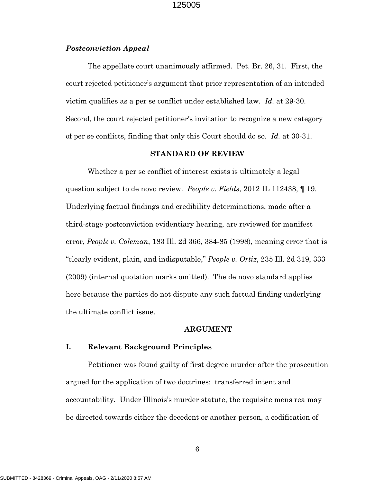#### *Postconviction Appeal*

The appellate court unanimously affirmed. Pet. Br. 26, 31. First, the court rejected petitioner's argument that prior representation of an intended victim qualifies as a per se conflict under established law. *Id.* at 29-30. Second, the court rejected petitioner's invitation to recognize a new category of per se conflicts, finding that only this Court should do so. *Id.* at 30-31.

#### **STANDARD OF REVIEW**

Whether a per se conflict of interest exists is ultimately a legal question subject to de novo review. *People v. Fields*, 2012 IL 112438, ¶ 19. Underlying factual findings and credibility determinations, made after a third-stage postconviction evidentiary hearing, are reviewed for manifest error, *People v. Coleman*, 183 Ill. 2d 366, 384-85 (1998), meaning error that is "clearly evident, plain, and indisputable," *People v. Ortiz*, 235 Ill. 2d 319, 333 (2009) (internal quotation marks omitted). The de novo standard applies here because the parties do not dispute any such factual finding underlying the ultimate conflict issue.

#### **ARGUMENT**

#### **I. Relevant Background Principles**

Petitioner was found guilty of first degree murder after the prosecution argued for the application of two doctrines: transferred intent and accountability. Under Illinois's murder statute, the requisite mens rea may be directed towards either the decedent or another person, a codification of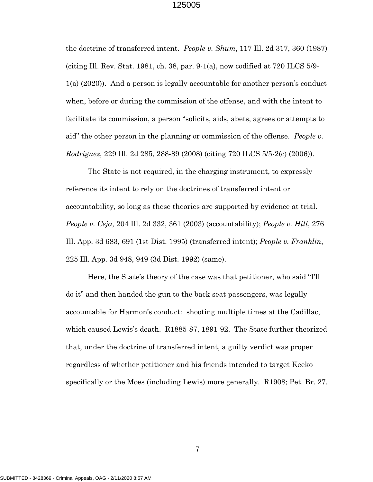the doctrine of transferred intent. *People v. Shum*, 117 Ill. 2d 317, 360 (1987) (citing Ill. Rev. Stat. 1981, ch. 38, par. 9-1(a), now codified at 720 ILCS 5/9- 1(a) (2020)). And a person is legally accountable for another person's conduct when, before or during the commission of the offense, and with the intent to facilitate its commission, a person "solicits, aids, abets, agrees or attempts to aid" the other person in the planning or commission of the offense. *People v. Rodriguez*, 229 Ill. 2d 285, 288-89 (2008) (citing 720 ILCS 5/5-2(c) (2006)).

The State is not required, in the charging instrument, to expressly reference its intent to rely on the doctrines of transferred intent or accountability, so long as these theories are supported by evidence at trial. *People v. Ceja*, 204 Ill. 2d 332, 361 (2003) (accountability); *People v. Hill*, 276 Ill. App. 3d 683, 691 (1st Dist. 1995) (transferred intent); *People v. Franklin*, 225 Ill. App. 3d 948, 949 (3d Dist. 1992) (same).

Here, the State's theory of the case was that petitioner, who said "I'll do it" and then handed the gun to the back seat passengers, was legally accountable for Harmon's conduct: shooting multiple times at the Cadillac, which caused Lewis's death. R1885-87, 1891-92. The State further theorized that, under the doctrine of transferred intent, a guilty verdict was proper regardless of whether petitioner and his friends intended to target Keeko specifically or the Moes (including Lewis) more generally. R1908; Pet. Br. 27.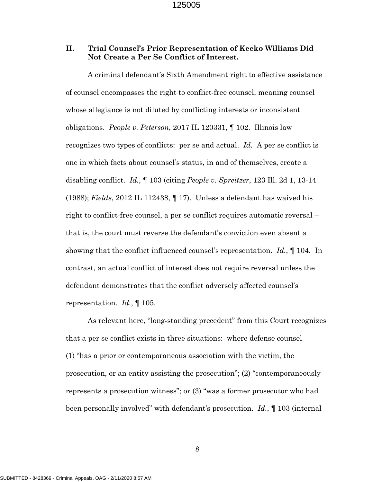## **II. Trial Counsel's Prior Representation of Keeko Williams Did Not Create a Per Se Conflict of Interest.**

A criminal defendant's Sixth Amendment right to effective assistance of counsel encompasses the right to conflict-free counsel, meaning counsel whose allegiance is not diluted by conflicting interests or inconsistent obligations. *People v. Peterson*, 2017 IL 120331, ¶ 102. Illinois law recognizes two types of conflicts: per se and actual. *Id.* A per se conflict is one in which facts about counsel's status, in and of themselves, create a disabling conflict. *Id.*, ¶ 103 (citing *People v. Spreitzer*, 123 Ill. 2d 1, 13-14 (1988); *Fields*, 2012 IL 112438, ¶ 17). Unless a defendant has waived his right to conflict-free counsel, a per se conflict requires automatic reversal – that is, the court must reverse the defendant's conviction even absent a showing that the conflict influenced counsel's representation. *Id.*, ¶ 104. In contrast, an actual conflict of interest does not require reversal unless the defendant demonstrates that the conflict adversely affected counsel's representation. *Id.*, ¶ 105.

As relevant here, "long-standing precedent" from this Court recognizes that a per se conflict exists in three situations: where defense counsel (1) "has a prior or contemporaneous association with the victim, the prosecution, or an entity assisting the prosecution"; (2) "contemporaneously represents a prosecution witness"; or (3) "was a former prosecutor who had been personally involved" with defendant's prosecution. *Id.*, ¶ 103 (internal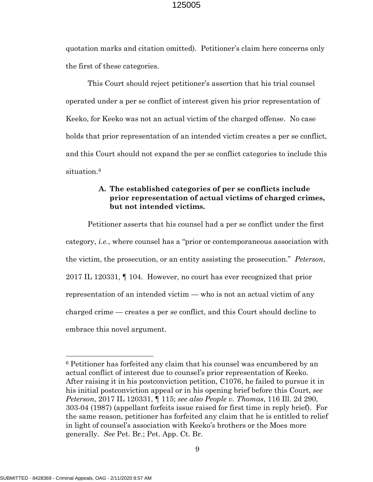quotation marks and citation omitted). Petitioner's claim here concerns only the first of these categories.

This Court should reject petitioner's assertion that his trial counsel operated under a per se conflict of interest given his prior representation of Keeko, for Keeko was not an actual victim of the charged offense. No case holds that prior representation of an intended victim creates a per se conflict, and this Court should not expand the per se conflict categories to include this situation.<sup>[6](#page-11-0)</sup>

## **A. The established categories of per se conflicts include prior representation of actual victims of charged crimes, but not intended victims.**

Petitioner asserts that his counsel had a per se conflict under the first category, *i.e.*, where counsel has a "prior or contemporaneous association with the victim, the prosecution, or an entity assisting the prosecution." *Peterson*, 2017 IL 120331, ¶ 104. However, no court has ever recognized that prior representation of an intended victim — who is not an actual victim of any charged crime — creates a per se conflict, and this Court should decline to embrace this novel argument.

<span id="page-11-0"></span><sup>6</sup> Petitioner has forfeited any claim that his counsel was encumbered by an actual conflict of interest due to counsel's prior representation of Keeko. After raising it in his postconviction petition, C1076, he failed to pursue it in his initial postconviction appeal or in his opening brief before this Court, *see Peterson*, 2017 IL 120331, ¶ 115; *see also People v. Thomas*, 116 Ill. 2d 290, 303-04 (1987) (appellant forfeits issue raised for first time in reply brief). For the same reason, petitioner has forfeited any claim that he is entitled to relief in light of counsel's association with Keeko's brothers or the Moes more generally. *See* Pet. Br.; Pet. App. Ct. Br.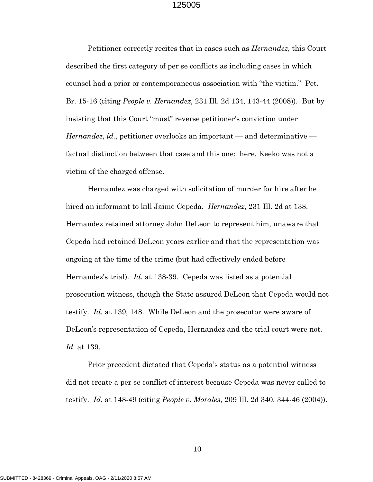Petitioner correctly recites that in cases such as *Hernandez*, this Court described the first category of per se conflicts as including cases in which counsel had a prior or contemporaneous association with "the victim." Pet. Br. 15-16 (citing *People v. Hernandez*, 231 Ill. 2d 134, 143-44 (2008)). But by insisting that this Court "must" reverse petitioner's conviction under *Hernandez*, *id.*, petitioner overlooks an important — and determinative factual distinction between that case and this one: here, Keeko was not a victim of the charged offense.

Hernandez was charged with solicitation of murder for hire after he hired an informant to kill Jaime Cepeda. *Hernandez*, 231 Ill. 2d at 138. Hernandez retained attorney John DeLeon to represent him, unaware that Cepeda had retained DeLeon years earlier and that the representation was ongoing at the time of the crime (but had effectively ended before Hernandez's trial). *Id.* at 138-39. Cepeda was listed as a potential prosecution witness, though the State assured DeLeon that Cepeda would not testify. *Id.* at 139, 148. While DeLeon and the prosecutor were aware of DeLeon's representation of Cepeda, Hernandez and the trial court were not. *Id.* at 139.

Prior precedent dictated that Cepeda's status as a potential witness did not create a per se conflict of interest because Cepeda was never called to testify. *Id.* at 148-49 (citing *People v. Morales*, 209 Ill. 2d 340, 344-46 (2004)).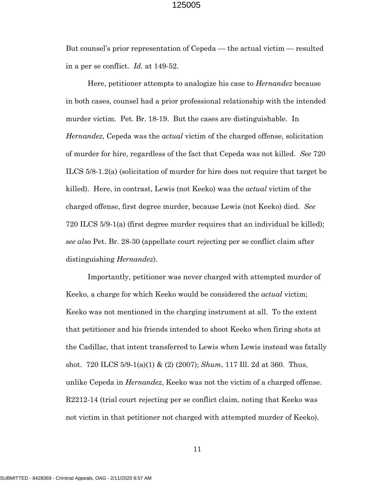But counsel's prior representation of Cepeda — the actual victim — resulted in a per se conflict. *Id.* at 149-52.

Here, petitioner attempts to analogize his case to *Hernandez* because in both cases, counsel had a prior professional relationship with the intended murder victim. Pet. Br. 18-19. But the cases are distinguishable. In *Hernandez*, Cepeda was the *actual* victim of the charged offense, solicitation of murder for hire, regardless of the fact that Cepeda was not killed. *See* 720 ILCS 5/8-1.2(a) (solicitation of murder for hire does not require that target be killed). Here, in contrast, Lewis (not Keeko) was the *actual* victim of the charged offense, first degree murder, because Lewis (not Keeko) died. *See* 720 ILCS 5/9-1(a) (first degree murder requires that an individual be killed); *see also* Pet. Br. 28-30 (appellate court rejecting per se conflict claim after distinguishing *Hernandez*).

Importantly, petitioner was never charged with attempted murder of Keeko, a charge for which Keeko would be considered the *actual* victim; Keeko was not mentioned in the charging instrument at all. To the extent that petitioner and his friends intended to shoot Keeko when firing shots at the Cadillac, that intent transferred to Lewis when Lewis instead was fatally shot. 720 ILCS 5/9-1(a)(1) & (2) (2007); *Shum*, 117 Ill. 2d at 360. Thus, unlike Cepeda in *Hernandez*, Keeko was not the victim of a charged offense. R2212-14 (trial court rejecting per se conflict claim, noting that Keeko was not victim in that petitioner not charged with attempted murder of Keeko).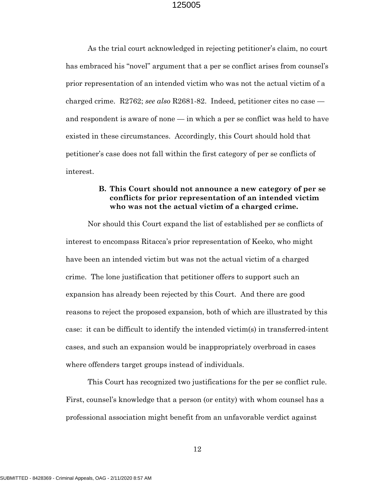As the trial court acknowledged in rejecting petitioner's claim, no court has embraced his "novel" argument that a per se conflict arises from counsel's prior representation of an intended victim who was not the actual victim of a charged crime. R2762; *see also* R2681-82. Indeed, petitioner cites no case and respondent is aware of none — in which a per se conflict was held to have existed in these circumstances. Accordingly, this Court should hold that petitioner's case does not fall within the first category of per se conflicts of interest.

## **B. This Court should not announce a new category of per se conflicts for prior representation of an intended victim who was not the actual victim of a charged crime.**

Nor should this Court expand the list of established per se conflicts of interest to encompass Ritacca's prior representation of Keeko, who might have been an intended victim but was not the actual victim of a charged crime. The lone justification that petitioner offers to support such an expansion has already been rejected by this Court. And there are good reasons to reject the proposed expansion, both of which are illustrated by this case: it can be difficult to identify the intended victim(s) in transferred-intent cases, and such an expansion would be inappropriately overbroad in cases where offenders target groups instead of individuals.

This Court has recognized two justifications for the per se conflict rule. First, counsel's knowledge that a person (or entity) with whom counsel has a professional association might benefit from an unfavorable verdict against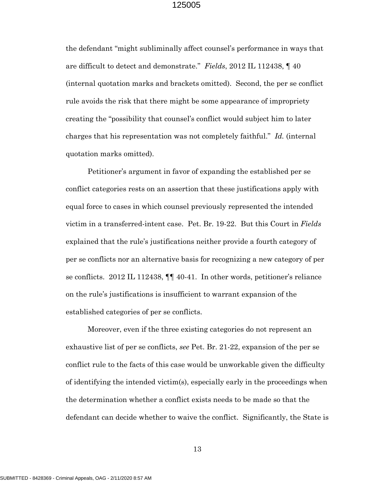the defendant "might subliminally affect counsel's performance in ways that are difficult to detect and demonstrate." *Fields*, 2012 IL 112438, ¶ 40 (internal quotation marks and brackets omitted). Second, the per se conflict rule avoids the risk that there might be some appearance of impropriety creating the "possibility that counsel's conflict would subject him to later charges that his representation was not completely faithful." *Id.* (internal quotation marks omitted).

Petitioner's argument in favor of expanding the established per se conflict categories rests on an assertion that these justifications apply with equal force to cases in which counsel previously represented the intended victim in a transferred-intent case. Pet. Br. 19-22. But this Court in *Fields* explained that the rule's justifications neither provide a fourth category of per se conflicts nor an alternative basis for recognizing a new category of per se conflicts. 2012 IL 112438, ¶¶ 40-41. In other words, petitioner's reliance on the rule's justifications is insufficient to warrant expansion of the established categories of per se conflicts.

Moreover, even if the three existing categories do not represent an exhaustive list of per se conflicts, *see* Pet. Br. 21-22, expansion of the per se conflict rule to the facts of this case would be unworkable given the difficulty of identifying the intended victim(s), especially early in the proceedings when the determination whether a conflict exists needs to be made so that the defendant can decide whether to waive the conflict. Significantly, the State is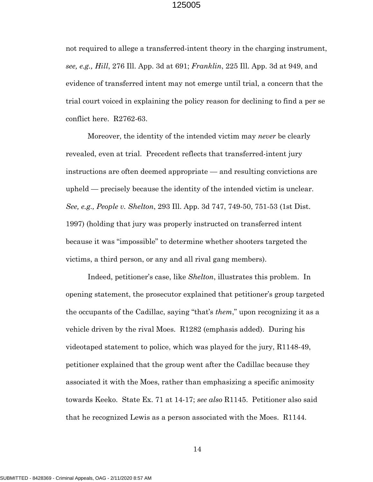not required to allege a transferred-intent theory in the charging instrument, *see, e.g., Hill*, 276 Ill. App. 3d at 691; *Franklin*, 225 Ill. App. 3d at 949, and evidence of transferred intent may not emerge until trial, a concern that the trial court voiced in explaining the policy reason for declining to find a per se conflict here. R2762-63.

Moreover, the identity of the intended victim may *never* be clearly revealed, even at trial. Precedent reflects that transferred-intent jury instructions are often deemed appropriate — and resulting convictions are upheld — precisely because the identity of the intended victim is unclear. *See, e.g., People v. Shelton*, 293 Ill. App. 3d 747, 749-50, 751-53 (1st Dist. 1997) (holding that jury was properly instructed on transferred intent because it was "impossible" to determine whether shooters targeted the victims, a third person, or any and all rival gang members).

Indeed, petitioner's case, like *Shelton*, illustrates this problem. In opening statement, the prosecutor explained that petitioner's group targeted the occupants of the Cadillac, saying "that's *them*," upon recognizing it as a vehicle driven by the rival Moes. R1282 (emphasis added). During his videotaped statement to police, which was played for the jury, R1148-49, petitioner explained that the group went after the Cadillac because they associated it with the Moes, rather than emphasizing a specific animosity towards Keeko. State Ex. 71 at 14-17; *see also* R1145. Petitioner also said that he recognized Lewis as a person associated with the Moes. R1144.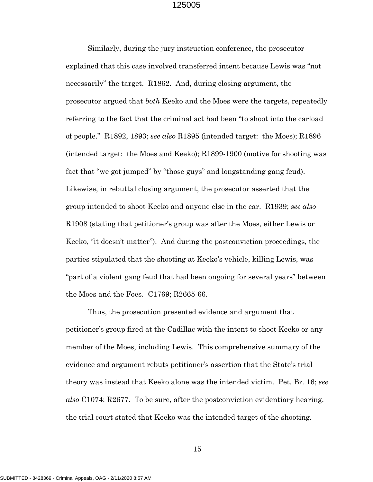Similarly, during the jury instruction conference, the prosecutor explained that this case involved transferred intent because Lewis was "not necessarily" the target. R1862. And, during closing argument, the prosecutor argued that *both* Keeko and the Moes were the targets, repeatedly referring to the fact that the criminal act had been "to shoot into the carload of people." R1892, 1893; *see also* R1895 (intended target: the Moes); R1896 (intended target: the Moes and Keeko); R1899-1900 (motive for shooting was fact that "we got jumped" by "those guys" and longstanding gang feud). Likewise, in rebuttal closing argument, the prosecutor asserted that the group intended to shoot Keeko and anyone else in the car. R1939; *see also* R1908 (stating that petitioner's group was after the Moes, either Lewis or Keeko, "it doesn't matter"). And during the postconviction proceedings, the parties stipulated that the shooting at Keeko's vehicle, killing Lewis, was "part of a violent gang feud that had been ongoing for several years" between the Moes and the Foes. C1769; R2665-66.

Thus, the prosecution presented evidence and argument that petitioner's group fired at the Cadillac with the intent to shoot Keeko or any member of the Moes, including Lewis. This comprehensive summary of the evidence and argument rebuts petitioner's assertion that the State's trial theory was instead that Keeko alone was the intended victim. Pet. Br. 16; *see also* C1074; R2677. To be sure, after the postconviction evidentiary hearing, the trial court stated that Keeko was the intended target of the shooting.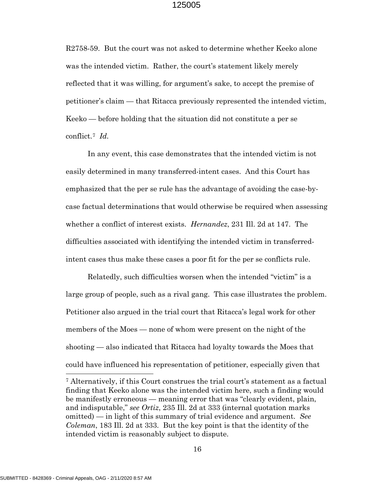R2758-59. But the court was not asked to determine whether Keeko alone was the intended victim. Rather, the court's statement likely merely reflected that it was willing, for argument's sake, to accept the premise of petitioner's claim — that Ritacca previously represented the intended victim, Keeko — before holding that the situation did not constitute a per se conflict.[7](#page-18-0) *Id.*

In any event, this case demonstrates that the intended victim is not easily determined in many transferred-intent cases. And this Court has emphasized that the per se rule has the advantage of avoiding the case-bycase factual determinations that would otherwise be required when assessing whether a conflict of interest exists. *Hernandez*, 231 Ill. 2d at 147. The difficulties associated with identifying the intended victim in transferredintent cases thus make these cases a poor fit for the per se conflicts rule.

Relatedly, such difficulties worsen when the intended "victim" is a large group of people, such as a rival gang. This case illustrates the problem. Petitioner also argued in the trial court that Ritacca's legal work for other members of the Moes — none of whom were present on the night of the shooting — also indicated that Ritacca had loyalty towards the Moes that could have influenced his representation of petitioner, especially given that

<span id="page-18-0"></span><sup>7</sup> Alternatively, if this Court construes the trial court's statement as a factual finding that Keeko alone was the intended victim here, such a finding would be manifestly erroneous — meaning error that was "clearly evident, plain, and indisputable," *see Ortiz*, 235 Ill. 2d at 333 (internal quotation marks omitted) — in light of this summary of trial evidence and argument. *See Coleman*, 183 Ill. 2d at 333. But the key point is that the identity of the intended victim is reasonably subject to dispute.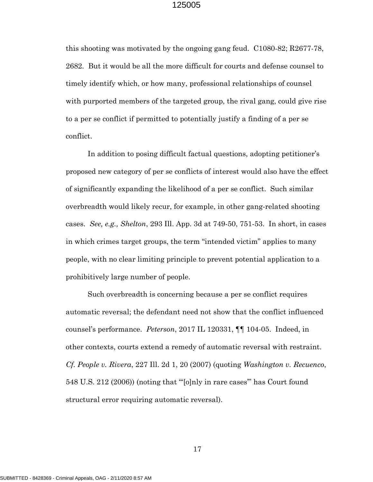this shooting was motivated by the ongoing gang feud. C1080-82; R2677-78, 2682. But it would be all the more difficult for courts and defense counsel to timely identify which, or how many, professional relationships of counsel with purported members of the targeted group, the rival gang, could give rise to a per se conflict if permitted to potentially justify a finding of a per se conflict.

In addition to posing difficult factual questions, adopting petitioner's proposed new category of per se conflicts of interest would also have the effect of significantly expanding the likelihood of a per se conflict. Such similar overbreadth would likely recur, for example, in other gang-related shooting cases. *See, e.g., Shelton*, 293 Ill. App. 3d at 749-50, 751-53. In short, in cases in which crimes target groups, the term "intended victim" applies to many people, with no clear limiting principle to prevent potential application to a prohibitively large number of people.

Such overbreadth is concerning because a per se conflict requires automatic reversal; the defendant need not show that the conflict influenced counsel's performance. *Peterson*, 2017 IL 120331, ¶¶ 104-05. Indeed, in other contexts, courts extend a remedy of automatic reversal with restraint. *Cf. People v. Rivera*, 227 Ill. 2d 1, 20 (2007) (quoting *Washington v. Recuenco*, 548 U.S. 212 (2006)) (noting that "'[o]nly in rare cases'" has Court found structural error requiring automatic reversal).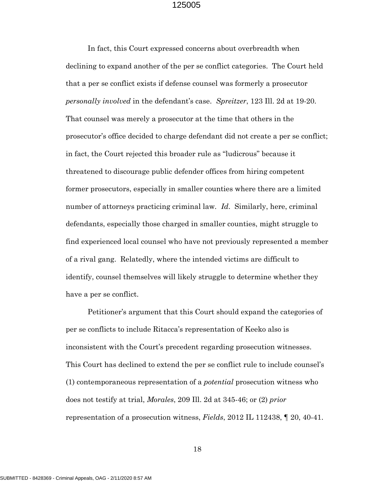In fact, this Court expressed concerns about overbreadth when declining to expand another of the per se conflict categories. The Court held that a per se conflict exists if defense counsel was formerly a prosecutor *personally involved* in the defendant's case. *Spreitzer*, 123 Ill. 2d at 19-20. That counsel was merely a prosecutor at the time that others in the prosecutor's office decided to charge defendant did not create a per se conflict; in fact, the Court rejected this broader rule as "ludicrous" because it threatened to discourage public defender offices from hiring competent former prosecutors, especially in smaller counties where there are a limited number of attorneys practicing criminal law*. Id*. Similarly, here, criminal defendants, especially those charged in smaller counties, might struggle to find experienced local counsel who have not previously represented a member of a rival gang. Relatedly, where the intended victims are difficult to identify, counsel themselves will likely struggle to determine whether they have a per se conflict.

Petitioner's argument that this Court should expand the categories of per se conflicts to include Ritacca's representation of Keeko also is inconsistent with the Court's precedent regarding prosecution witnesses. This Court has declined to extend the per se conflict rule to include counsel's (1) contemporaneous representation of a *potential* prosecution witness who does not testify at trial, *Morales*, 209 Ill. 2d at 345-46; or (2) *prior* representation of a prosecution witness, *Fields*, 2012 IL 112438, ¶ 20, 40-41.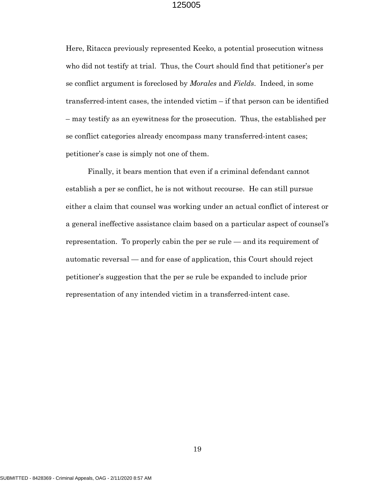Here, Ritacca previously represented Keeko, a potential prosecution witness who did not testify at trial. Thus, the Court should find that petitioner's per se conflict argument is foreclosed by *Morales* and *Fields*. Indeed, in some transferred-intent cases, the intended victim – if that person can be identified – may testify as an eyewitness for the prosecution. Thus, the established per se conflict categories already encompass many transferred-intent cases; petitioner's case is simply not one of them.

Finally, it bears mention that even if a criminal defendant cannot establish a per se conflict, he is not without recourse. He can still pursue either a claim that counsel was working under an actual conflict of interest or a general ineffective assistance claim based on a particular aspect of counsel's representation. To properly cabin the per se rule — and its requirement of automatic reversal — and for ease of application, this Court should reject petitioner's suggestion that the per se rule be expanded to include prior representation of any intended victim in a transferred-intent case.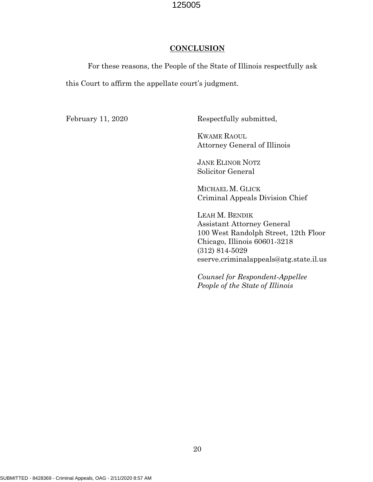#### **CONCLUSION**

For these reasons, the People of the State of Illinois respectfully ask this Court to affirm the appellate court's judgment.

February 11, 2020 Respectfully submitted,

KWAME RAOUL Attorney General of Illinois

 JANE ELINOR NOTZ Solicitor General

 MICHAEL M. GLICK Criminal Appeals Division Chief

 LEAH M. BENDIK Assistant Attorney General 100 West Randolph Street, 12th Floor Chicago, Illinois 60601-3218 (312) 814-5029 eserve.criminalappeals@atg.state.il.us

 *Counsel for Respondent-Appellee People of the State of Illinois*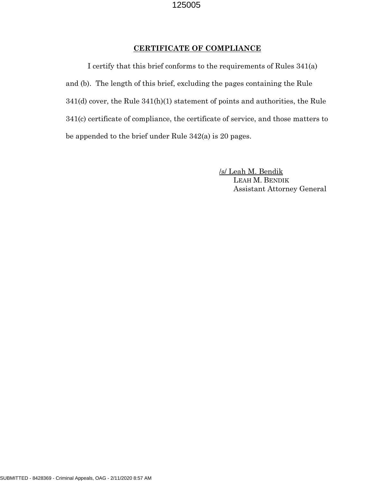#### **CERTIFICATE OF COMPLIANCE**

I certify that this brief conforms to the requirements of Rules 341(a) and (b). The length of this brief, excluding the pages containing the Rule 341(d) cover, the Rule 341(h)(1) statement of points and authorities, the Rule 341(c) certificate of compliance, the certificate of service, and those matters to be appended to the brief under Rule 342(a) is 20 pages.

> /s/ Leah M. Bendik LEAH M. BENDIK Assistant Attorney General